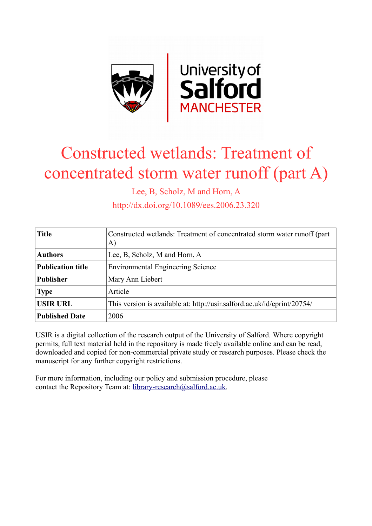

# Constructed wetlands: Treatment of concentrated storm water runoff (part A)

Lee, B, Scholz, M and Horn, A

http://dx.doi.org/10.1089/ees.2006.23.320

| <b>Title</b>             | Constructed wetlands: Treatment of concentrated storm water runoff (part<br>A) |
|--------------------------|--------------------------------------------------------------------------------|
| <b>Authors</b>           | Lee, B, Scholz, M and Horn, A                                                  |
| <b>Publication title</b> | <b>Environmental Engineering Science</b>                                       |
| <b>Publisher</b>         | Mary Ann Liebert                                                               |
| <b>Type</b>              | Article                                                                        |
| <b>USIR URL</b>          | This version is available at: http://usir.salford.ac.uk/id/eprint/20754/       |
| <b>Published Date</b>    | 2006                                                                           |

USIR is a digital collection of the research output of the University of Salford. Where copyright permits, full text material held in the repository is made freely available online and can be read, downloaded and copied for non-commercial private study or research purposes. Please check the manuscript for any further copyright restrictions.

For more information, including our policy and submission procedure, please contact the Repository Team at: [library-research@salford.ac.uk.](mailto:library-research@salford.ac.uk)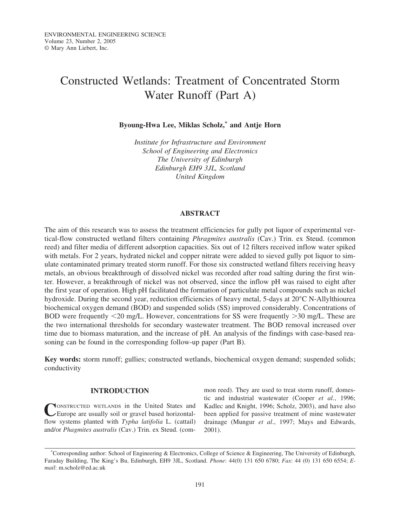# Constructed Wetlands: Treatment of Concentrated Storm Water Runoff (Part A)

**Byoung-Hwa Lee, Miklas Scholz,\* and Antje Horn**

*Institute for Infrastructure and Environment School of Engineering and Electronics The University of Edinburgh Edinburgh EH9 3JL, Scotland United Kingdom*

# **ABSTRACT**

The aim of this research was to assess the treatment efficiencies for gully pot liquor of experimental vertical-flow constructed wetland filters containing *Phragmites australis* (Cav.) Trin. ex Steud. (common reed) and filter media of different adsorption capacities. Six out of 12 filters received inflow water spiked with metals. For 2 years, hydrated nickel and copper nitrate were added to sieved gully pot liquor to simulate contaminated primary treated storm runoff. For those six constructed wetland filters receiving heavy metals, an obvious breakthrough of dissolved nickel was recorded after road salting during the first winter. However, a breakthrough of nickel was not observed, since the inflow pH was raised to eight after the first year of operation. High pH facilitated the formation of particulate metal compounds such as nickel hydroxide. During the second year, reduction efficiencies of heavy metal, 5-days at 20°C N-Allylthiourea biochemical oxygen demand (BOD) and suspended solids (SS) improved considerably. Concentrations of BOD were frequently <20 mg/L. However, concentrations for SS were frequently >30 mg/L. These are the two international thresholds for secondary wastewater treatment. The BOD removal increased over time due to biomass maturation, and the increase of pH. An analysis of the findings with case-based reasoning can be found in the corresponding follow-up paper (Part B).

**Key words:** storm runoff; gullies; constructed wetlands, biochemical oxygen demand; suspended solids; conductivity

# **INTRODUCTION**

**NONSTRUCTED WETLANDS in the United States and** Europe are usually soil or gravel based horizontalflow systems planted with *Typha latifolia* L. (cattail) and/or *Phagmites australis* (Cav.) Trin. ex Steud. (common reed). They are used to treat storm runoff, domestic and industrial wastewater (Cooper *et al*., 1996; Kadlec and Knight, 1996; Scholz, 2003), and have also been applied for passive treatment of mine wastewater drainage (Mungur *et al*., 1997; Mays and Edwards, 2001).

<sup>\*</sup>Corresponding author: School of Engineering & Electronics, College of Science & Engineering, The University of Edinburgh, Faraday Building, The King's Bu, Edinburgh, EH9 3JL, Scotland. *Phone*: 44(0) 131 650 6780; *Fax*: 44 (0) 131 650 6554; *Email*: m.scholz@ed.ac.uk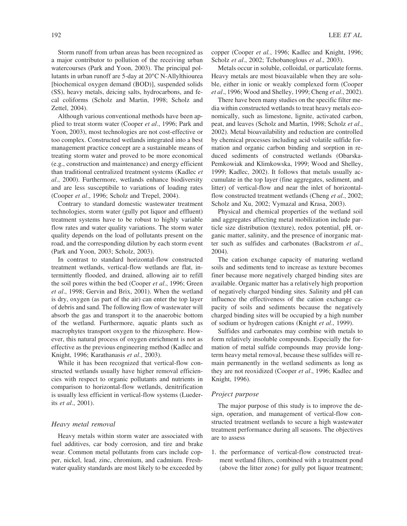Storm runoff from urban areas has been recognized as a major contributor to pollution of the receiving urban watercourses (Park and Yoon, 2003). The principal pollutants in urban runoff are 5-day at 20°C N-Allylthiourea [biochemical oxygen demand (BOD)], suspended solids (SS), heavy metals, deicing salts, hydrocarbons, and fecal coliforms (Scholz and Martin, 1998; Scholz and Zettel, 2004).

Although various conventional methods have been applied to treat storm water (Cooper *et al*., 1996; Park and Yoon, 2003), most technologies are not cost-effective or too complex. Constructed wetlands integrated into a best management practice concept are a sustainable means of treating storm water and proved to be more economical (e.g., construction and maintenance) and energy efficient than traditional centralized treatment systems (Kadlec *et al*., 2000). Furthermore, wetlands enhance biodiversity and are less susceptibile to variations of loading rates (Cooper *et al*., 1996; Scholz and Trepel, 2004).

Contrary to standard domestic wastewater treatment technologies, storm water (gully pot liquor and effluent) treatment systems have to be robust to highly variable flow rates and water quality variations. The storm water quality depends on the load of pollutants present on the road, and the corresponding dilution by each storm event (Park and Yoon, 2003; Scholz, 2003).

In contrast to standard horizontal-flow constructed treatment wetlands, vertical-flow wetlands are flat, intermittently flooded, and drained, allowing air to refill the soil pores within the bed (Cooper *et al*., 1996; Green *et al*., 1998; Gervin and Brix, 2001). When the wetland is dry, oxygen (as part of the air) can enter the top layer of debris and sand. The following flow of wastewater will absorb the gas and transport it to the anaerobic bottom of the wetland. Furthermore, aquatic plants such as macrophytes transport oxygen to the rhizosphere. However, this natural process of oxygen enrichment is not as effective as the previous engineering method (Kadlec and Knight, 1996; Karathanasis *et al*., 2003).

While it has been recognized that vertical-flow constructed wetlands usually have higher removal efficiencies with respect to organic pollutants and nutrients in comparison to horizontal-flow wetlands, denitrification is usually less efficient in vertical-flow systems (Luederits *et al*., 2001).

# *Heavy metal removal*

Heavy metals within storm water are associated with fuel additives, car body corrosion, and tire and brake wear. Common metal pollutants from cars include copper, nickel, lead, zinc, chromium, and cadmium. Freshwater quality standards are most likely to be exceeded by

copper (Cooper *et al.*, 1996; Kadlec and Knight, 1996; Scholz *et al*., 2002; Tchobanoglous *et al*., 2003).

Metals occur in soluble, colloidal, or particulate forms. Heavy metals are most bioavailable when they are soluble, either in ionic or weakly complexed form (Cooper *et al*., 1996; Wood and Shelley, 1999; Cheng *et al*., 2002).

There have been many studies on the specific filter media within constructed wetlands to treat heavy metals economically, such as limestone, lignite, activated carbon, peat, and leaves (Scholz and Martin, 1998; Scholz *et al*., 2002). Metal bioavailability and reduction are controlled by chemical processes including acid volatile sulfide formation and organic carbon binding and sorption in reduced sediments of constructed wetlands (Obarska-Pemkowiak and Klimkowska, 1999; Wood and Shelley, 1999; Kadlec, 2002). It follows that metals usually accumulate in the top layer (fine aggregates, sediment, and litter) of vertical-flow and near the inlet of horizontalflow constructed treatment wetlands (Cheng *et al*., 2002; Scholz and Xu, 2002; Vymazal and Krasa, 2003).

Physical and chemical properties of the wetland soil and aggregates affecting metal mobilization include particle size distribution (texture), redox potential, pH, organic matter, salinity, and the presence of inorganic matter such as sulfides and carbonates (Backstrom *et al*., 2004).

The cation exchange capacity of maturing wetland soils and sediments tend to increase as texture becomes finer because more negatively charged binding sites are available. Organic matter has a relatively high proportion of negatively charged binding sites. Salinity and pH can influence the effectiveness of the cation exchange capacity of soils and sediments because the negatively charged binding sites will be occupied by a high number of sodium or hydrogen cations (Knight *et al*., 1999).

Sulfides and carbonates may combine with metals to form relatively insoluble compounds. Especially the formation of metal sulfide compounds may provide longterm heavy metal removal, because these sulfides will remain permanently in the wetland sediments as long as they are not reoxidized (Cooper *et al*., 1996; Kadlec and Knight, 1996).

#### *Project purpose*

The major purpose of this study is to improve the design, operation, and management of vertical-flow constructed treatment wetlands to secure a high wastewater treatment performance during all seasons. The objectives are to assess

1. the performance of vertical-flow constructed treatment wetland filters, combined with a treatment pond (above the litter zone) for gully pot liquor treatment;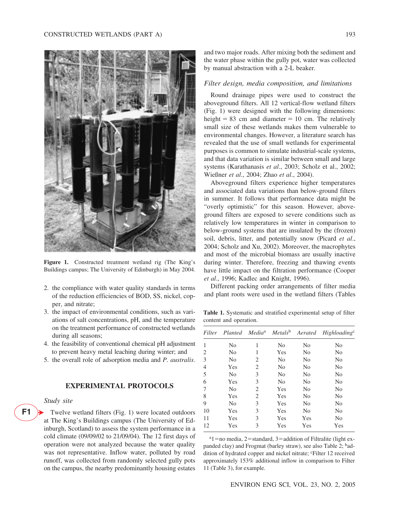

**Figure 1.** Constructed treatment wetland rig (The King's Buildings campus; The University of Edinburgh) in May 2004.

- 2. the compliance with water quality standards in terms of the reduction efficiencies of BOD, SS, nickel, copper, and nitrate;
- 3. the impact of environmental conditions, such as variations of salt concentrations, pH, and the temperature on the treatment performance of constructed wetlands during all seasons;
- 4. the feasibility of conventional chemical pH adjustment to prevent heavy metal leaching during winter; and
- 5. the overall role of adsorption media and *P. australis*.

# **EXPERIMENTAL PROTOCOLS**

#### *Study site*

**F1** -

Twelve wetland filters (Fig. 1) were located outdoors at The King's Buildings campus (The University of Edinburgh, Scotland) to assess the system performance in a cold climate (09/09/02 to 21/09/04). The 12 first days of operation were not analyzed because the water quality was not representative. Inflow water, polluted by road runoff, was collected from randomly selected gully pots on the campus, the nearby predominantly housing estates

and two major roads. After mixing both the sediment and the water phase within the gully pot, water was collected by manual abstraction with a 2-L beaker.

# *Filter design, media composition, and limitations*

Round drainage pipes were used to construct the aboveground filters. All 12 vertical-flow wetland filters (Fig. 1) were designed with the following dimensions: height  $= 83$  cm and diameter  $= 10$  cm. The relatively small size of these wetlands makes them vulnerable to environmental changes. However, a literature search has revealed that the use of small wetlands for experimental purposes is common to simulate industrial-scale systems, and that data variation is similar between small and large systems (Karathanasis *et al*., 2003; Scholz et al., 2002; Wießner *et al*., 2004; Zhao *et al*., 2004).

Aboveground filters experience higher temperatures and associated data variations than below-ground filters in summer. It follows that performance data might be "overly optimistic" for this season. However, aboveground filters are exposed to severe conditions such as relatively low temperatures in winter in comparison to below-ground systems that are insulated by the (frozen) soil, debris, litter, and potentially snow (Picard *et al*., 2004; Scholz and Xu, 2002). Moreover, the macrophytes and most of the microbial biomass are usually inactive during winter. Therefore, freezing and thawing events have little impact on the filtration performance (Cooper *et al*., 1996; Kadlec and Knight, 1996).

Different packing order arrangements of filter media and plant roots were used in the wetland filters (Tables

**Table 1.** Systematic and stratified experimental setup of filter content and operation.

| Filter |                |   |                |                | Planted Media <sup>a</sup> Metals <sup>b</sup> Aerated Highloading <sup>c</sup> |
|--------|----------------|---|----------------|----------------|---------------------------------------------------------------------------------|
| 1      | N <sub>0</sub> | 1 | N <sub>0</sub> | N <sub>0</sub> | No                                                                              |
| 2      | N <sub>0</sub> | 1 | Yes            | N <sub>0</sub> | No                                                                              |
| 3      | N <sub>0</sub> | 2 | N <sub>0</sub> | N <sub>0</sub> | No                                                                              |
| 4      | Yes            | 2 | N <sub>0</sub> | N <sub>0</sub> | N <sub>0</sub>                                                                  |
| 5      | N <sub>0</sub> | 3 | No             | N <sub>0</sub> | No                                                                              |
| 6      | Yes            | 3 | N <sub>0</sub> | N <sub>0</sub> | N <sub>0</sub>                                                                  |
| 7      | N <sub>0</sub> | 2 | Yes            | N <sub>0</sub> | No                                                                              |
| 8      | Yes            | 2 | Yes            | N <sub>0</sub> | No                                                                              |
| 9      | N <sub>0</sub> | 3 | Yes            | N <sub>0</sub> | N <sub>0</sub>                                                                  |
| 10     | Yes            | 3 | Yes            | N <sub>0</sub> | No                                                                              |
| 11     | Yes            | 3 | Yes            | Yes            | No                                                                              |
| 12     | Yes            | 3 | Yes            | Yes            | Yes                                                                             |

 $a_1$  = no media, 2 = standard, 3 = addition of Filtralite (light expanded clay) and Frogmat (barley straw), see also Table 2; baddition of hydrated copper and nickel nitrate; 'Filter 12 received approximately 153% additional inflow in comparison to Filter 11 (Table 3), for example.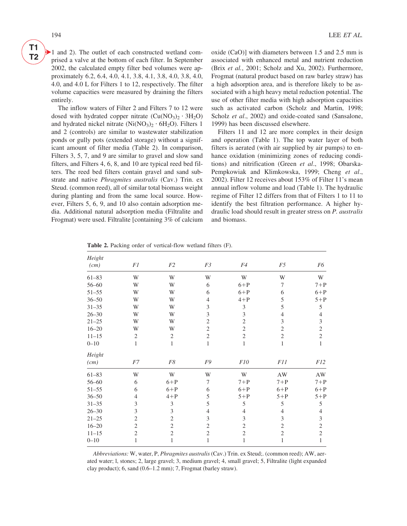**T1 T2**

 $\blacktriangleright$  1 and 2). The outlet of each constructed wetland comprised a valve at the bottom of each filter. In September 2002, the calculated empty filter bed volumes were approximately 6.2, 6.4, 4.0, 4.1, 3.8, 4.1, 3.8, 4.0, 3.8, 4.0, 4.0, and 4.0 L for Filters 1 to 12, respectively. The filter volume capacities were measured by draining the filters entirely.

The inflow waters of Filter 2 and Filters 7 to 12 were dosed with hydrated copper nitrate  $(Cu(NO<sub>3</sub>)<sub>2</sub> · 3H<sub>2</sub>O)$ and hydrated nickel nitrate  $(Ni(NO<sub>3</sub>)<sub>2</sub> · 6H<sub>2</sub>O)$ . Filters 1 and 2 (controls) are similar to wastewater stabilization ponds or gully pots (extended storage) without a significant amount of filter media (Table 2). In comparison, Filters 3, 5, 7, and 9 are similar to gravel and slow sand filters, and Filters 4, 6, 8, and 10 are typical reed bed filters. The reed bed filters contain gravel and sand substrate and native *Phragmites australis* (Cav.) Trin. ex Steud. (common reed), all of similar total biomass weight during planting and from the same local source. However, Filters 5, 6, 9, and 10 also contain adsorption media. Additional natural adsorption media (Filtralite and Frogmat) were used. Filtralite [containing 3% of calcium oxide (CaO)] with diameters between 1.5 and 2.5 mm is associated with enhanced metal and nutrient reduction (Brix *et al.*, 2001; Scholz and Xu, 2002). Furthermore, Frogmat (natural product based on raw barley straw) has a high adsorption area, and is therefore likely to be associated with a high heavy metal reduction potential. The use of other filter media with high adsorption capacities such as activated carbon (Scholz and Martin, 1998; Scholz *et al.*, 2002) and oxide-coated sand (Sansalone, 1999) has been discussed elsewhere.

Filters 11 and 12 are more complex in their design and operation (Table 1). The top water layer of both filters is aerated (with air supplied by air pumps) to enhance oxidation (minimizing zones of reducing conditions) and nitrification (Green *et al*., 1998; Obarska-Pempkowiak and Klimkowska, 1999; Cheng *et al*., 2002). Filter 12 receives about 153% of Filter 11's mean annual inflow volume and load (Table 1). The hydraulic regime of Filter 12 differs from that of Filters 1 to 11 to identify the best filtration performance. A higher hydraulic load should result in greater stress on *P. australis* and biomass.

| Height    |                |                |                |                |                |                |
|-----------|----------------|----------------|----------------|----------------|----------------|----------------|
| (cm)      | F1             | F2             | F3             | F4             | F5             | F6             |
| $61 - 83$ | W              | W              | W              | W              | W              | W              |
| $56 - 60$ | W              | W              | 6              | $6+P$          | $\overline{7}$ | $7+P$          |
| $51 - 55$ | W              | W              | 6              | $6+P$          | 6              | $6+P$          |
| $36 - 50$ | W              | W              | $\overline{4}$ | $4+P$          | 5              | $5+P$          |
| $31 - 35$ | W              | W              | 3              | $\mathfrak z$  | 5              | 5              |
| $26 - 30$ | W              | W              | 3              | 3              | $\overline{4}$ | $\overline{4}$ |
| $21 - 25$ | W              | W              | $\overline{2}$ | $\overline{2}$ | 3              | $\mathfrak{Z}$ |
| $16 - 20$ | W              | W              | $\overline{c}$ | $\mathfrak{2}$ | $\mathfrak{2}$ | $\overline{c}$ |
| $11 - 15$ | $\sqrt{2}$     | $\mathfrak{2}$ | $\overline{c}$ | $\mathfrak{2}$ | $\mathfrak{2}$ | $\overline{c}$ |
| $0 - 10$  | $\mathbf{1}$   | $\,1$          | $\mathbf{1}$   | $\mathbf{1}$   | $\mathbf{1}$   | $\,1$          |
| Height    |                |                |                |                |                |                |
| (cm)      | F7             | F8             | F9             | F10            | F11            | F12            |
| $61 - 83$ | W              | W              | W              | W              | AW             | AW             |
| $56 - 60$ | 6              | $6+P$          | 7              | $7+P$          | $7+P$          | $7+P$          |
| $51 - 55$ | 6              | $6+P$          | 6              | $6+P$          | $6+P$          | $6+P$          |
| $36 - 50$ | $\overline{4}$ | $4+P$          | 5              | $5+P$          | $5+P$          | $5+P$          |
| $31 - 35$ | 3              | $\mathfrak{Z}$ | 5              | 5              | 5              | 5              |
| $26 - 30$ | 3              | $\mathfrak{Z}$ | $\overline{4}$ | $\overline{4}$ | $\overline{4}$ | $\overline{4}$ |
| $21 - 25$ | $\overline{2}$ | $\overline{2}$ | 3              | 3              | 3              | $\mathfrak{Z}$ |
| $16 - 20$ | $\mathfrak{2}$ | $\mathfrak{2}$ | $\overline{c}$ | $\mathfrak{2}$ | $\mathfrak{2}$ | $\overline{c}$ |
| $11 - 15$ | $\overline{2}$ | $\overline{2}$ | $\overline{c}$ | $\overline{2}$ | $\overline{2}$ | $\overline{2}$ |
| $0 - 10$  | $\mathbf{1}$   | 1              | 1              | 1              | $\mathbf{1}$   | $\mathbf{1}$   |

**Table 2.** Packing order of vertical-flow wetland filters (F).

*Abbreviations:* W, water, P, *Phragmites australis* (Cav.) Trin. ex Steud;. (common reed); AW, aerated water; l, stones; 2, large gravel; 3, medium gravel; 4, small gravel; 5, Filtralite (light expanded clay product); 6, sand (0.6–1.2 mm); 7, Frogmat (barley straw).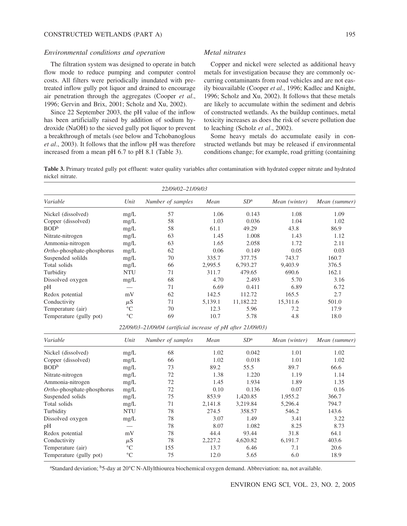#### *Environmental conditions and operation*

The filtration system was designed to operate in batch flow mode to reduce pumping and computer control costs. All filters were periodically inundated with pretreated inflow gully pot liquor and drained to encourage air penetration through the aggregates (Cooper *et al*., 1996; Gervin and Brix, 2001; Scholz and Xu, 2002).

Since 22 September 2003, the pH value of the inflow has been artificially raised by addition of sodium hydroxide (NaOH) to the sieved gully pot liquor to prevent a breakthrough of metals (see below and Tchobanoglous *et al*., 2003). It follows that the inflow pH was therefore increased from a mean pH 6.7 to pH 8.1 (Table 3).

#### *Metal nitrates*

Copper and nickel were selected as additional heavy metals for investigation because they are commonly occurring contaminants from road vehicles and are not easily bioavailable (Cooper *et al*., 1996; Kadlec and Knight, 1996; Scholz and Xu, 2002). It follows that these metals are likely to accumulate within the sediment and debris of constructed wetlands. As the buildup continues, metal toxicity increases as does the risk of severe pollution due to leaching (Scholz *et al*., 2002).

Some heavy metals do accumulate easily in constructed wetlands but may be released if environmental conditions change; for example, road gritting (containing

**Table 3.** Primary treated gully pot effluent: water quality variables after contamination with hydrated copper nitrate and hydrated nickel nitrate.

|                            |                 | 22/09/02-21/09/03 |         |                 |               |               |
|----------------------------|-----------------|-------------------|---------|-----------------|---------------|---------------|
| Variable                   | Unit            | Number of samples | Mean    | SD <sup>a</sup> | Mean (winter) | Mean (summer) |
| Nickel (dissolved)         | mg/L            | 57                | 1.06    | 0.143           | 1.08          | 1.09          |
| Copper (dissolved)         | mg/L            | 58                | 1.03    | 0.036           | 1.04          | 1.02          |
| BOD <sup>b</sup>           | mg/L            | 58                | 61.1    | 49.29           | 43.8          | 86.9          |
| Nitrate-nitrogen           | mg/L            | 63                | 1.45    | 1.008           | 1.43          | 1.12          |
| Ammonia-nitrogen           | mg/L            | 63                | 1.65    | 2.058           | 1.72          | 2.11          |
| Ortho-phosphate-phosphorus | mg/L            | 62                | 0.06    | 0.149           | 0.05          | 0.03          |
| Suspended solilds          | mg/L            | 70                | 335.7   | 377.75          | 743.7         | 160.7         |
| Total solids               | mg/L            | 66                | 2,995.5 | 6,793.27        | 9.403.9       | 376.5         |
| Turbidity                  | <b>NTU</b>      | 71                | 311.7   | 479.65          | 690.6         | 162.1         |
| Dissolved oxygen           | mg/L            | 68                | 4.70    | 2.493           | 5.70          | 3.16          |
| pH                         |                 | 71                | 6.69    | 0.411           | 6.89          | 6.72          |
| Redox potential            | mV              | 62                | 142.5   | 112.72          | 165.5         | 2.7           |
| Conductivity               | $\mu$ S         | 71                | 5,139.1 | 11,182.22       | 15,311.6      | 501.0         |
| Temperature (air)          | $\rm ^{\circ}C$ | 70                | 12.3    | 5.96            | 7.2           | 17.9          |
| Temperature (gully pot)    | $\rm ^{\circ}C$ | 69                | 10.7    | 5.78            | 4.8           | 18.0          |

*22/09/03–21/09/04 (artificial increase of pH after 21/09/03)*

| Variable                   | Unit            | Number of samples | Mean    | SD <sup>a</sup> | Mean (winter) | Mean (summer) |
|----------------------------|-----------------|-------------------|---------|-----------------|---------------|---------------|
| Nickel (dissolved)         | mg/L            | 68                | 1.02    | 0.042           | 1.01          | 1.02          |
| Copper (dissolved)         | mg/L            | 66                | 1.02    | 0.018           | 1.01          | 1.02          |
| BOD <sup>b</sup>           | mg/L            | 73                | 89.2    | 55.5            | 89.7          | 66.6          |
| Nitrate-nitrogen           | mg/L            | 72                | 1.38    | 1.220           | 1.19          | 1.14          |
| Ammonia-nitrogen           | mg/L            | 72                | 1.45    | 1.934           | 1.89          | 1.35          |
| Ortho-phosphate-phosphorus | mg/L            | 72                | 0.10    | 0.136           | 0.07          | 0.16          |
| Suspended solids           | mg/L            | 75                | 853.9   | 1,420.85        | 1,955.2       | 366.7         |
| Total solids               | mg/L            | 71                | 2,141.8 | 3,219.84        | 5,296.4       | 794.7         |
| Turbidity                  | <b>NTU</b>      | 78                | 274.5   | 358.57          | 546.2         | 143.6         |
| Dissolved oxygen           | mg/L            | 78                | 3.07    | 1.49            | 3.41          | 3.22          |
| pH                         |                 | 78                | 8.07    | 1.082           | 8.25          | 8.73          |
| Redox potential            | mV              | 78                | 44.4    | 93.44           | 31.8          | 64.1          |
| Conductivity               | $\mu$ S         | 78                | 2,227.2 | 4,620.82        | 6,191.7       | 403.6         |
| Temperature (air)          | $^{\circ}C$     | 155               | 13.7    | 6.46            | 7.1           | 20.6          |
| Temperature (gully pot)    | $\rm ^{\circ}C$ | 75                | 12.0    | 5.65            | 6.0           | 18.9          |

a Standard deviation; b5-day at 20°C N-Allylthiourea biochemical oxygen demand. Abbreviation: na, not available.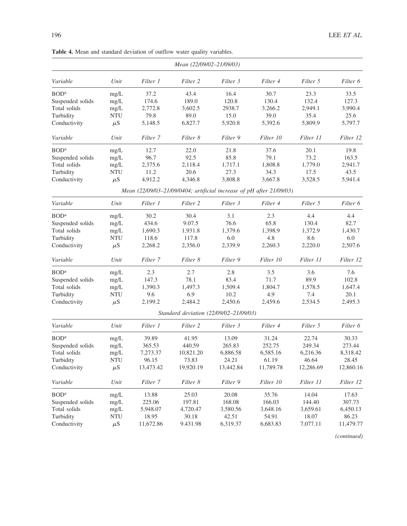| Variable<br>Unit<br>Filter 1<br>Filter 2<br>Filter 3<br>Filter 4<br>Filter 5<br>Filter 6<br>mg/L<br>37.2<br>43.4<br>16.4<br>30.7<br>23.3<br>33.5<br>174.6<br>130.4<br>132.4<br>127.3<br>mg/L<br>189.0<br>120.8<br>3,990.4<br>Total solids<br>2,772.8<br>3,602.5<br>2938.7<br>3.266.2<br>2,949.1<br>mg/L<br>79.8<br>89.0<br>15.0<br>39.0<br>35.4<br>25.6<br><b>NTU</b><br>$\mu$ S<br>5,148.5<br>6,827.7<br>5,920.8<br>5,392.6<br>5,809.9<br>5,797.7<br>Unit<br>Filter 8<br>Filter 9<br>Filter 10<br>Filter 11<br>Variable<br>Filter 7<br>Filter 12<br>mg/L<br>12.7<br>22.0<br>21.8<br>37.6<br>20.1<br>19.8<br>96.7<br>92.5<br>85.8<br>79.1<br>73.2<br>163.5<br>mg/L<br>mg/L<br>2,375.6<br>2,118.4<br>1,717.1<br>1,808.8<br>1,779.0<br>2,941.7<br><b>NTU</b><br>11.2<br>20.6<br>27.3<br>34.3<br>17.5<br>43.5<br>$\mu$ S<br>4,912.2<br>4,346.8<br>3,808.8<br>3,667.8<br>3,528.5<br>5,941.4<br>Mean (22/09/03-21/09/0404; artificial increase of pH after 21/09/03)<br>Unit<br>Filter 2<br>Filter 3<br>Filter 5<br>Variable<br>Filter 1<br>Filter 4<br>Filter 6<br>30.2<br>30.4<br>3.1<br>2.3<br>4.4<br>4.4<br>mg/L<br>9.07.5<br>76.6<br>65.8<br>130.4<br>82.7<br>mg/L<br>434.6<br>1,690.3<br>1,931.8<br>1,379.6<br>1,398.9<br>1,372.9<br>1,430.7<br>mg/L<br><b>NTU</b><br>118.6<br>117.8<br>6.0<br>4.8<br>8.6<br>6.0<br>2,220.0<br>$\mu$ S<br>2,268.2<br>2,356.0<br>2,339.9<br>2,260.3<br>2,507.6<br>Variable<br>Unit<br>Filter 7<br>Filter 8<br>Filter 9<br>Filter 10<br>Filter 11<br>Filter 12<br>2.3<br>2.7<br>2.8<br>mg/L<br>3.5<br>3.6<br>7.6<br>78.1<br>83.4<br>71.7<br>89.9<br>102.8<br>147.3<br>mg/L<br>1,390.3<br>1,497.3<br>1,509.4<br>1,804.7<br>1,578.5<br>1,647.4<br>mg/L<br><b>NTU</b><br>6.9<br>10.2<br>20.1<br>9.6<br>4.9<br>7.4<br>2,199.2<br>2,484.2<br>2,450.6<br>2,534.5<br>2,495.3<br>$\mu$ S<br>2,459.6<br>Standard deviation (22/09/02-21/09/03)<br>Variable<br>Unit<br>Filter 1<br>Filter 3<br>Filter 4<br>Filter 5<br>Filter 6<br>Filter 2<br>39.89<br>41.95<br>13.09<br>31.24<br>22.74<br>30.33<br>mg/L<br>365.53<br>252.75<br>249.34<br>273.44<br>Suspended solids<br>440.59<br>265.83<br>mg/L<br>7,273.37<br>10,821.20<br>6,886.58<br>6,585.16<br>6,216.36<br>8,318.42<br>Total solids<br>mg/L<br>46.64<br>Turbidity<br>96.15<br>73.83<br>24.21<br>61.19<br>28.45<br><b>NTU</b><br>13,473.42<br>19,920.19<br>13,442.84<br>11,789.78<br>12,286.69<br>12,860.16<br>$\mu$ S<br>Filter 7<br>Filter 8<br>Filter 9<br>Filter 10<br>Filter 11<br>Filter 12<br>Variable<br>Unit<br>13.88<br>25.03<br>20.08<br>35.76<br>14.04<br>17.63<br>mg/L<br>225.06<br>197.81<br>168.08<br>166.03<br>144.40<br>307.73<br>mg/L<br>5,948.07<br>4,720.47<br>3,580.56<br>3,648.16<br>3,659.61<br>6,450.13<br>mg/L<br>NTU<br>18.95<br>30.18<br>42.51<br>54.91<br>18.07<br>86.23<br>$\mu$ S<br>11,672.86<br>9.431.98<br>6,319.37<br>6,683.83<br>7,077.11<br>11,479.77 |                         |  | Mean (22/09/02-21/09/03) |  |  |
|----------------------------------------------------------------------------------------------------------------------------------------------------------------------------------------------------------------------------------------------------------------------------------------------------------------------------------------------------------------------------------------------------------------------------------------------------------------------------------------------------------------------------------------------------------------------------------------------------------------------------------------------------------------------------------------------------------------------------------------------------------------------------------------------------------------------------------------------------------------------------------------------------------------------------------------------------------------------------------------------------------------------------------------------------------------------------------------------------------------------------------------------------------------------------------------------------------------------------------------------------------------------------------------------------------------------------------------------------------------------------------------------------------------------------------------------------------------------------------------------------------------------------------------------------------------------------------------------------------------------------------------------------------------------------------------------------------------------------------------------------------------------------------------------------------------------------------------------------------------------------------------------------------------------------------------------------------------------------------------------------------------------------------------------------------------------------------------------------------------------------------------------------------------------------------------------------------------------------------------------------------------------------------------------------------------------------------------------------------------------------------------------------------------------------------------------------------------------------------------------------------------------------------------------------------------------------------------------------------------------------------------------------------------------------------------------------------------------------------------------------------------------------------------------------------------------------------------------------------------------|-------------------------|--|--------------------------|--|--|
|                                                                                                                                                                                                                                                                                                                                                                                                                                                                                                                                                                                                                                                                                                                                                                                                                                                                                                                                                                                                                                                                                                                                                                                                                                                                                                                                                                                                                                                                                                                                                                                                                                                                                                                                                                                                                                                                                                                                                                                                                                                                                                                                                                                                                                                                                                                                                                                                                                                                                                                                                                                                                                                                                                                                                                                                                                                                      |                         |  |                          |  |  |
|                                                                                                                                                                                                                                                                                                                                                                                                                                                                                                                                                                                                                                                                                                                                                                                                                                                                                                                                                                                                                                                                                                                                                                                                                                                                                                                                                                                                                                                                                                                                                                                                                                                                                                                                                                                                                                                                                                                                                                                                                                                                                                                                                                                                                                                                                                                                                                                                                                                                                                                                                                                                                                                                                                                                                                                                                                                                      | <b>BOD</b> <sup>a</sup> |  |                          |  |  |
|                                                                                                                                                                                                                                                                                                                                                                                                                                                                                                                                                                                                                                                                                                                                                                                                                                                                                                                                                                                                                                                                                                                                                                                                                                                                                                                                                                                                                                                                                                                                                                                                                                                                                                                                                                                                                                                                                                                                                                                                                                                                                                                                                                                                                                                                                                                                                                                                                                                                                                                                                                                                                                                                                                                                                                                                                                                                      | Suspended solids        |  |                          |  |  |
|                                                                                                                                                                                                                                                                                                                                                                                                                                                                                                                                                                                                                                                                                                                                                                                                                                                                                                                                                                                                                                                                                                                                                                                                                                                                                                                                                                                                                                                                                                                                                                                                                                                                                                                                                                                                                                                                                                                                                                                                                                                                                                                                                                                                                                                                                                                                                                                                                                                                                                                                                                                                                                                                                                                                                                                                                                                                      |                         |  |                          |  |  |
|                                                                                                                                                                                                                                                                                                                                                                                                                                                                                                                                                                                                                                                                                                                                                                                                                                                                                                                                                                                                                                                                                                                                                                                                                                                                                                                                                                                                                                                                                                                                                                                                                                                                                                                                                                                                                                                                                                                                                                                                                                                                                                                                                                                                                                                                                                                                                                                                                                                                                                                                                                                                                                                                                                                                                                                                                                                                      | Turbidity               |  |                          |  |  |
|                                                                                                                                                                                                                                                                                                                                                                                                                                                                                                                                                                                                                                                                                                                                                                                                                                                                                                                                                                                                                                                                                                                                                                                                                                                                                                                                                                                                                                                                                                                                                                                                                                                                                                                                                                                                                                                                                                                                                                                                                                                                                                                                                                                                                                                                                                                                                                                                                                                                                                                                                                                                                                                                                                                                                                                                                                                                      | Conductivity            |  |                          |  |  |
|                                                                                                                                                                                                                                                                                                                                                                                                                                                                                                                                                                                                                                                                                                                                                                                                                                                                                                                                                                                                                                                                                                                                                                                                                                                                                                                                                                                                                                                                                                                                                                                                                                                                                                                                                                                                                                                                                                                                                                                                                                                                                                                                                                                                                                                                                                                                                                                                                                                                                                                                                                                                                                                                                                                                                                                                                                                                      |                         |  |                          |  |  |
|                                                                                                                                                                                                                                                                                                                                                                                                                                                                                                                                                                                                                                                                                                                                                                                                                                                                                                                                                                                                                                                                                                                                                                                                                                                                                                                                                                                                                                                                                                                                                                                                                                                                                                                                                                                                                                                                                                                                                                                                                                                                                                                                                                                                                                                                                                                                                                                                                                                                                                                                                                                                                                                                                                                                                                                                                                                                      | <b>BOD</b> <sup>a</sup> |  |                          |  |  |
|                                                                                                                                                                                                                                                                                                                                                                                                                                                                                                                                                                                                                                                                                                                                                                                                                                                                                                                                                                                                                                                                                                                                                                                                                                                                                                                                                                                                                                                                                                                                                                                                                                                                                                                                                                                                                                                                                                                                                                                                                                                                                                                                                                                                                                                                                                                                                                                                                                                                                                                                                                                                                                                                                                                                                                                                                                                                      | Suspended solids        |  |                          |  |  |
|                                                                                                                                                                                                                                                                                                                                                                                                                                                                                                                                                                                                                                                                                                                                                                                                                                                                                                                                                                                                                                                                                                                                                                                                                                                                                                                                                                                                                                                                                                                                                                                                                                                                                                                                                                                                                                                                                                                                                                                                                                                                                                                                                                                                                                                                                                                                                                                                                                                                                                                                                                                                                                                                                                                                                                                                                                                                      | Total solids            |  |                          |  |  |
|                                                                                                                                                                                                                                                                                                                                                                                                                                                                                                                                                                                                                                                                                                                                                                                                                                                                                                                                                                                                                                                                                                                                                                                                                                                                                                                                                                                                                                                                                                                                                                                                                                                                                                                                                                                                                                                                                                                                                                                                                                                                                                                                                                                                                                                                                                                                                                                                                                                                                                                                                                                                                                                                                                                                                                                                                                                                      | Turbidity               |  |                          |  |  |
|                                                                                                                                                                                                                                                                                                                                                                                                                                                                                                                                                                                                                                                                                                                                                                                                                                                                                                                                                                                                                                                                                                                                                                                                                                                                                                                                                                                                                                                                                                                                                                                                                                                                                                                                                                                                                                                                                                                                                                                                                                                                                                                                                                                                                                                                                                                                                                                                                                                                                                                                                                                                                                                                                                                                                                                                                                                                      | Conductivity            |  |                          |  |  |
|                                                                                                                                                                                                                                                                                                                                                                                                                                                                                                                                                                                                                                                                                                                                                                                                                                                                                                                                                                                                                                                                                                                                                                                                                                                                                                                                                                                                                                                                                                                                                                                                                                                                                                                                                                                                                                                                                                                                                                                                                                                                                                                                                                                                                                                                                                                                                                                                                                                                                                                                                                                                                                                                                                                                                                                                                                                                      |                         |  |                          |  |  |
|                                                                                                                                                                                                                                                                                                                                                                                                                                                                                                                                                                                                                                                                                                                                                                                                                                                                                                                                                                                                                                                                                                                                                                                                                                                                                                                                                                                                                                                                                                                                                                                                                                                                                                                                                                                                                                                                                                                                                                                                                                                                                                                                                                                                                                                                                                                                                                                                                                                                                                                                                                                                                                                                                                                                                                                                                                                                      |                         |  |                          |  |  |
|                                                                                                                                                                                                                                                                                                                                                                                                                                                                                                                                                                                                                                                                                                                                                                                                                                                                                                                                                                                                                                                                                                                                                                                                                                                                                                                                                                                                                                                                                                                                                                                                                                                                                                                                                                                                                                                                                                                                                                                                                                                                                                                                                                                                                                                                                                                                                                                                                                                                                                                                                                                                                                                                                                                                                                                                                                                                      | <b>BOD</b> <sup>a</sup> |  |                          |  |  |
|                                                                                                                                                                                                                                                                                                                                                                                                                                                                                                                                                                                                                                                                                                                                                                                                                                                                                                                                                                                                                                                                                                                                                                                                                                                                                                                                                                                                                                                                                                                                                                                                                                                                                                                                                                                                                                                                                                                                                                                                                                                                                                                                                                                                                                                                                                                                                                                                                                                                                                                                                                                                                                                                                                                                                                                                                                                                      | Suspended solids        |  |                          |  |  |
|                                                                                                                                                                                                                                                                                                                                                                                                                                                                                                                                                                                                                                                                                                                                                                                                                                                                                                                                                                                                                                                                                                                                                                                                                                                                                                                                                                                                                                                                                                                                                                                                                                                                                                                                                                                                                                                                                                                                                                                                                                                                                                                                                                                                                                                                                                                                                                                                                                                                                                                                                                                                                                                                                                                                                                                                                                                                      | Total solids            |  |                          |  |  |
|                                                                                                                                                                                                                                                                                                                                                                                                                                                                                                                                                                                                                                                                                                                                                                                                                                                                                                                                                                                                                                                                                                                                                                                                                                                                                                                                                                                                                                                                                                                                                                                                                                                                                                                                                                                                                                                                                                                                                                                                                                                                                                                                                                                                                                                                                                                                                                                                                                                                                                                                                                                                                                                                                                                                                                                                                                                                      | Turbidity               |  |                          |  |  |
|                                                                                                                                                                                                                                                                                                                                                                                                                                                                                                                                                                                                                                                                                                                                                                                                                                                                                                                                                                                                                                                                                                                                                                                                                                                                                                                                                                                                                                                                                                                                                                                                                                                                                                                                                                                                                                                                                                                                                                                                                                                                                                                                                                                                                                                                                                                                                                                                                                                                                                                                                                                                                                                                                                                                                                                                                                                                      | Conductivity            |  |                          |  |  |
|                                                                                                                                                                                                                                                                                                                                                                                                                                                                                                                                                                                                                                                                                                                                                                                                                                                                                                                                                                                                                                                                                                                                                                                                                                                                                                                                                                                                                                                                                                                                                                                                                                                                                                                                                                                                                                                                                                                                                                                                                                                                                                                                                                                                                                                                                                                                                                                                                                                                                                                                                                                                                                                                                                                                                                                                                                                                      |                         |  |                          |  |  |
|                                                                                                                                                                                                                                                                                                                                                                                                                                                                                                                                                                                                                                                                                                                                                                                                                                                                                                                                                                                                                                                                                                                                                                                                                                                                                                                                                                                                                                                                                                                                                                                                                                                                                                                                                                                                                                                                                                                                                                                                                                                                                                                                                                                                                                                                                                                                                                                                                                                                                                                                                                                                                                                                                                                                                                                                                                                                      | <b>BOD</b> <sup>a</sup> |  |                          |  |  |
|                                                                                                                                                                                                                                                                                                                                                                                                                                                                                                                                                                                                                                                                                                                                                                                                                                                                                                                                                                                                                                                                                                                                                                                                                                                                                                                                                                                                                                                                                                                                                                                                                                                                                                                                                                                                                                                                                                                                                                                                                                                                                                                                                                                                                                                                                                                                                                                                                                                                                                                                                                                                                                                                                                                                                                                                                                                                      | Suspended solids        |  |                          |  |  |
|                                                                                                                                                                                                                                                                                                                                                                                                                                                                                                                                                                                                                                                                                                                                                                                                                                                                                                                                                                                                                                                                                                                                                                                                                                                                                                                                                                                                                                                                                                                                                                                                                                                                                                                                                                                                                                                                                                                                                                                                                                                                                                                                                                                                                                                                                                                                                                                                                                                                                                                                                                                                                                                                                                                                                                                                                                                                      | Total solids            |  |                          |  |  |
|                                                                                                                                                                                                                                                                                                                                                                                                                                                                                                                                                                                                                                                                                                                                                                                                                                                                                                                                                                                                                                                                                                                                                                                                                                                                                                                                                                                                                                                                                                                                                                                                                                                                                                                                                                                                                                                                                                                                                                                                                                                                                                                                                                                                                                                                                                                                                                                                                                                                                                                                                                                                                                                                                                                                                                                                                                                                      | Turbidity               |  |                          |  |  |
|                                                                                                                                                                                                                                                                                                                                                                                                                                                                                                                                                                                                                                                                                                                                                                                                                                                                                                                                                                                                                                                                                                                                                                                                                                                                                                                                                                                                                                                                                                                                                                                                                                                                                                                                                                                                                                                                                                                                                                                                                                                                                                                                                                                                                                                                                                                                                                                                                                                                                                                                                                                                                                                                                                                                                                                                                                                                      | Conductivity            |  |                          |  |  |
|                                                                                                                                                                                                                                                                                                                                                                                                                                                                                                                                                                                                                                                                                                                                                                                                                                                                                                                                                                                                                                                                                                                                                                                                                                                                                                                                                                                                                                                                                                                                                                                                                                                                                                                                                                                                                                                                                                                                                                                                                                                                                                                                                                                                                                                                                                                                                                                                                                                                                                                                                                                                                                                                                                                                                                                                                                                                      |                         |  |                          |  |  |
|                                                                                                                                                                                                                                                                                                                                                                                                                                                                                                                                                                                                                                                                                                                                                                                                                                                                                                                                                                                                                                                                                                                                                                                                                                                                                                                                                                                                                                                                                                                                                                                                                                                                                                                                                                                                                                                                                                                                                                                                                                                                                                                                                                                                                                                                                                                                                                                                                                                                                                                                                                                                                                                                                                                                                                                                                                                                      |                         |  |                          |  |  |
|                                                                                                                                                                                                                                                                                                                                                                                                                                                                                                                                                                                                                                                                                                                                                                                                                                                                                                                                                                                                                                                                                                                                                                                                                                                                                                                                                                                                                                                                                                                                                                                                                                                                                                                                                                                                                                                                                                                                                                                                                                                                                                                                                                                                                                                                                                                                                                                                                                                                                                                                                                                                                                                                                                                                                                                                                                                                      | <b>BOD</b> <sup>a</sup> |  |                          |  |  |
|                                                                                                                                                                                                                                                                                                                                                                                                                                                                                                                                                                                                                                                                                                                                                                                                                                                                                                                                                                                                                                                                                                                                                                                                                                                                                                                                                                                                                                                                                                                                                                                                                                                                                                                                                                                                                                                                                                                                                                                                                                                                                                                                                                                                                                                                                                                                                                                                                                                                                                                                                                                                                                                                                                                                                                                                                                                                      |                         |  |                          |  |  |
|                                                                                                                                                                                                                                                                                                                                                                                                                                                                                                                                                                                                                                                                                                                                                                                                                                                                                                                                                                                                                                                                                                                                                                                                                                                                                                                                                                                                                                                                                                                                                                                                                                                                                                                                                                                                                                                                                                                                                                                                                                                                                                                                                                                                                                                                                                                                                                                                                                                                                                                                                                                                                                                                                                                                                                                                                                                                      |                         |  |                          |  |  |
|                                                                                                                                                                                                                                                                                                                                                                                                                                                                                                                                                                                                                                                                                                                                                                                                                                                                                                                                                                                                                                                                                                                                                                                                                                                                                                                                                                                                                                                                                                                                                                                                                                                                                                                                                                                                                                                                                                                                                                                                                                                                                                                                                                                                                                                                                                                                                                                                                                                                                                                                                                                                                                                                                                                                                                                                                                                                      |                         |  |                          |  |  |
|                                                                                                                                                                                                                                                                                                                                                                                                                                                                                                                                                                                                                                                                                                                                                                                                                                                                                                                                                                                                                                                                                                                                                                                                                                                                                                                                                                                                                                                                                                                                                                                                                                                                                                                                                                                                                                                                                                                                                                                                                                                                                                                                                                                                                                                                                                                                                                                                                                                                                                                                                                                                                                                                                                                                                                                                                                                                      | Conductivity            |  |                          |  |  |
|                                                                                                                                                                                                                                                                                                                                                                                                                                                                                                                                                                                                                                                                                                                                                                                                                                                                                                                                                                                                                                                                                                                                                                                                                                                                                                                                                                                                                                                                                                                                                                                                                                                                                                                                                                                                                                                                                                                                                                                                                                                                                                                                                                                                                                                                                                                                                                                                                                                                                                                                                                                                                                                                                                                                                                                                                                                                      |                         |  |                          |  |  |
|                                                                                                                                                                                                                                                                                                                                                                                                                                                                                                                                                                                                                                                                                                                                                                                                                                                                                                                                                                                                                                                                                                                                                                                                                                                                                                                                                                                                                                                                                                                                                                                                                                                                                                                                                                                                                                                                                                                                                                                                                                                                                                                                                                                                                                                                                                                                                                                                                                                                                                                                                                                                                                                                                                                                                                                                                                                                      | BOD <sup>a</sup>        |  |                          |  |  |
|                                                                                                                                                                                                                                                                                                                                                                                                                                                                                                                                                                                                                                                                                                                                                                                                                                                                                                                                                                                                                                                                                                                                                                                                                                                                                                                                                                                                                                                                                                                                                                                                                                                                                                                                                                                                                                                                                                                                                                                                                                                                                                                                                                                                                                                                                                                                                                                                                                                                                                                                                                                                                                                                                                                                                                                                                                                                      | Suspended solids        |  |                          |  |  |
|                                                                                                                                                                                                                                                                                                                                                                                                                                                                                                                                                                                                                                                                                                                                                                                                                                                                                                                                                                                                                                                                                                                                                                                                                                                                                                                                                                                                                                                                                                                                                                                                                                                                                                                                                                                                                                                                                                                                                                                                                                                                                                                                                                                                                                                                                                                                                                                                                                                                                                                                                                                                                                                                                                                                                                                                                                                                      | Total solids            |  |                          |  |  |
|                                                                                                                                                                                                                                                                                                                                                                                                                                                                                                                                                                                                                                                                                                                                                                                                                                                                                                                                                                                                                                                                                                                                                                                                                                                                                                                                                                                                                                                                                                                                                                                                                                                                                                                                                                                                                                                                                                                                                                                                                                                                                                                                                                                                                                                                                                                                                                                                                                                                                                                                                                                                                                                                                                                                                                                                                                                                      | Turbidity               |  |                          |  |  |
|                                                                                                                                                                                                                                                                                                                                                                                                                                                                                                                                                                                                                                                                                                                                                                                                                                                                                                                                                                                                                                                                                                                                                                                                                                                                                                                                                                                                                                                                                                                                                                                                                                                                                                                                                                                                                                                                                                                                                                                                                                                                                                                                                                                                                                                                                                                                                                                                                                                                                                                                                                                                                                                                                                                                                                                                                                                                      | Conductivity            |  |                          |  |  |

Table 4. Mean and standard deviation of outflow water quality variables.

*(continued)*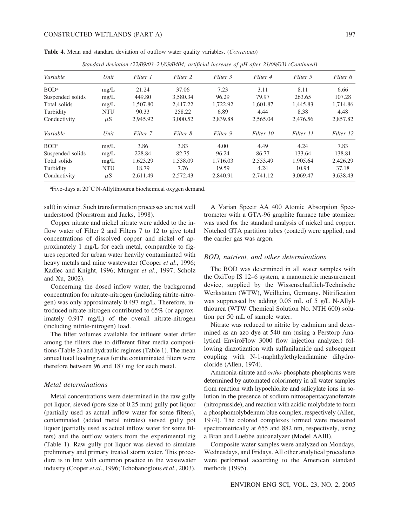|                  |            |          |          |          | Standard deviation (22/09/03-21/09/0404; artificial increase of pH after 21/09/03) (Continued) |           |           |
|------------------|------------|----------|----------|----------|------------------------------------------------------------------------------------------------|-----------|-----------|
| Variable         | Unit       | Filter 1 | Filter 2 | Filter 3 | Filter 4                                                                                       | Filter 5  | Filter 6  |
| BOD <sup>a</sup> | mg/L       | 21.24    | 37.06    | 7.23     | 3.11                                                                                           | 8.11      | 6.66      |
| Suspended solids | mg/L       | 449.80   | 3.580.34 | 96.29    | 79.97                                                                                          | 263.65    | 107.28    |
| Total solids     | mg/L       | 1,507.80 | 2,417.22 | 1,722.92 | 1.601.87                                                                                       | 1,445.83  | 1,714.86  |
| Turbidity        | <b>NTU</b> | 90.33    | 258.22   | 6.89     | 4.44                                                                                           | 8.38      | 4.48      |
| Conductivity     | $\mu$ S    | 2,945.92 | 3,000.52 | 2,839.88 | 2,565.04                                                                                       | 2,476.56  | 2,857.82  |
| Variable         | Unit       | Filter 7 | Filter 8 | Filter 9 | Filter 10                                                                                      | Filter 11 | Filter 12 |
| BOD <sup>a</sup> | mg/L       | 3.86     | 3.83     | 4.00     | 4.49                                                                                           | 4.24      | 7.83      |
| Suspended solids | mg/L       | 228.84   | 82.75    | 96.24    | 86.77                                                                                          | 133.64    | 138.81    |
| Total solids     | mg/L       | 1,623.29 | 1,538.09 | 1.716.03 | 2,553.49                                                                                       | 1,905.64  | 2,426.29  |
| Turbidity        | NTU        | 18.79    | 7.76     | 19.59    | 4.24                                                                                           | 10.94     | 37.18     |
| Conductivity     | $\mu$ S    | 2,611.49 | 2,572.43 | 2,840.91 | 2,741.12                                                                                       | 3,069.47  | 3,638.43  |

**Table 4.** Mean and standard deviation of outflow water quality variables. (*CONTINUED*)

<sup>a</sup>Five-days at 20°C N-Allylthiourea biochemical oxygen demand.

salt) in winter. Such transformation processes are not well understood (Norrstrom and Jacks, 1998).

Copper nitrate and nickel nitrate were added to the inflow water of Filter 2 and Filters 7 to 12 to give total concentrations of dissolved copper and nickel of approximately 1 mg/L for each metal, comparable to figures reported for urban water heavily contaminated with heavy metals and mine wastewater (Cooper *et al*., 1996; Kadlec and Knight, 1996; Mungur *et al*., 1997; Scholz and Xu, 2002).

Concerning the dosed inflow water, the background concentration for nitrate-nitrogen (including nitrite-nitrogen) was only approximately 0.497 mg/L. Therefore, introduced nitrate-nitrogen contributed to 65% (or approximately 0.917 mg/L) of the overall nitrate-nitrogen (including nitrite-nitrogen) load.

The filter volumes available for influent water differ among the filters due to different filter media compositions (Table 2) and hydraulic regimes (Table 1). The mean annual total loading rates for the contaminated filters were therefore between 96 and 187 mg for each metal.

# *Metal determinations*

Metal concentrations were determined in the raw gully pot liquor, sieved (pore size of 0.25 mm) gully pot liquor (partially used as actual inflow water for some filters), contaminated (added metal nitrates) sieved gully pot liquor (partially used as actual inflow water for some filters) and the outflow waters from the experimental rig (Table 1). Raw gully pot liquor was sieved to simulate preliminary and primary treated storm water. This procedure is in line with common practice in the wastewater industry (Cooper *et al*., 1996; Tchobanoglous *et al*., 2003).

A Varian Spectr AA 400 Atomic Absorption Spectrometer with a GTA-96 graphite furnace tube atomizer was used for the standard analysis of nickel and copper. Notched GTA partition tubes (coated) were applied, and the carrier gas was argon.

## *BOD, nutrient, and other determinations*

The BOD was determined in all water samples with the OxiTop IS 12–6 system, a manometric measurement device, supplied by the Wissenschaftlich-Technische Werkstätten (WTW), Weilheim, Germany. Nitrification was suppressed by adding 0.05 mL of 5 g/L N-Allylthiourea (WTW Chemical Solution No. NTH 600) solution per 50 mL of sample water.

Nitrate was reduced to nitrite by cadmium and determined as an azo dye at 540 nm (using a Perstorp Analytical EnviroFlow 3000 flow injection analyzer) following diazotization with sulfanilamide and subsequent coupling with N-1-naphthylethylendiamine dihydrocloride (Allen, 1974).

Ammonia-nitrate and *ortho*-phosphate-phosphorus were determined by automated colorimetry in all water samples from reaction with hypochlorite and salicylate ions in solution in the presence of sodium nitrosopentacyanoferrate (nitroprusside), and reaction with acidic molybdate to form a phosphomolybdenum blue complex, respectively (Allen, 1974). The colored complexes formed were measured spectrometrically at 655 and 882 nm, respectively, using a Bran and Luebbe autoanalyzer (Model AAIII).

Composite water samples were analyzed on Mondays, Wednesdays, and Fridays. All other analytical procedures were performed according to the American standard methods (1995).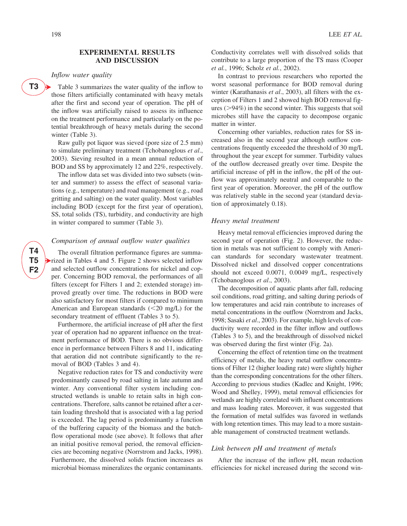**T3** -

# *Inflow water quality*

Table 3 summarizes the water quality of the inflow to those filters artificially contaminated with heavy metals after the first and second year of operation. The pH of the inflow was artificially raised to assess its influence on the treatment performance and particularly on the potential breakthrough of heavy metals during the second winter (Table 3).

Raw gully pot liquor was sieved (pore size of 2.5 mm) to simulate preliminary treatment (Tchobanoglous *et al*., 2003). Sieving resulted in a mean annual reduction of BOD and SS by approximately 12 and 22%, respectively.

The inflow data set was divided into two subsets (winter and summer) to assess the effect of seasonal variations (e.g., temperature) and road management (e.g., road gritting and salting) on the water quality. Most variables including BOD (except for the first year of operation), SS, total solids (TS), turbidity, and conductivity are high in winter compared to summer (Table 3).

# *Comparison of annual outflow water qualities*

The overall filtration performance figures are summarized in Tables 4 and 5. Figure 2 shows selected inflow and selected outflow concentrations for nickel and copper. Concerning BOD removal, the performances of all filters (except for Filters 1 and 2; extended storage) improved greatly over time. The reductions in BOD were also satisfactory for most filters if compared to minimum American and European standards  $(<20$  mg/L) for the secondary treatment of effluent (Tables 3 to 5).

Furthermore, the artificial increase of pH after the first year of operation had no apparent influence on the treatment performance of BOD. There is no obvious difference in performance between Filters 8 and 11, indicating that aeration did not contribute significantly to the removal of BOD (Tables 3 and 4).

Negative reduction rates for TS and conductivity were predominantly caused by road salting in late autumn and winter. Any conventional filter system including constructed wetlands is unable to retain salts in high concentrations. Therefore, salts cannot be retained after a certain loading threshold that is associated with a lag period is exceeded. The lag period is predominantly a function of the buffering capacity of the biomass and the batchflow operational mode (see above). It follows that after an initial positive removal period, the removal efficiencies are becoming negative (Norrstrom and Jacks, 1998). Furthermore, the dissolved solids fraction increases as microbial biomass mineralizes the organic contaminants.

Conductivity correlates well with dissolved solids that contribute to a large proportion of the TS mass (Cooper *et al.*, 1996; Scholz *et al.*, 2002).

In contrast to previous researchers who reported the worst seasonal performance for BOD removal during winter (Karathanasis *et al*., 2003), all filters with the exception of Filters 1 and 2 showed high BOD removal figures ( $>94\%$ ) in the second winter. This suggests that soil microbes still have the capacity to decompose organic matter in winter.

Concerning other variables, reduction rates for SS increased also in the second year although outflow concentrations frequently exceeded the threshold of 30 mg/L throughout the year except for summer. Turbidity values of the outflow decreased greatly over time. Despite the artificial increase of pH in the inflow, the pH of the outflow was approximately neutral and comparable to the first year of operation. Moreover, the pH of the outflow was relatively stable in the second year (standard deviation of approximately 0.18).

#### *Heavy metal treatment*

Heavy metal removal efficiencies improved during the second year of operation (Fig. 2). However, the reduction in metals was not sufficient to comply with American standards for secondary wastewater treatment. Dissolved nickel and dissolved copper concentrations should not exceed 0.0071, 0.0049 mg/L, respectively (Tchobanoglous *et al*., 2003).

The decomposition of aquatic plants after fall, reducing soil conditions, road gritting, and salting during periods of low temperatures and acid rain contribute to increases of metal concentrations in the outflow (Norrstrom and Jacks, 1998; Sasaki *et al*., 2003). For example, high levels of conductivity were recorded in the filter inflow and outflows (Tables 3 to 5), and the breakthrough of dissolved nickel was observed during the first winter (Fig. 2a).

Concerning the effect of retention time on the treatment efficiency of metals, the heavy metal outflow concentrations of Filter 12 (higher loading rate) were slightly higher than the corresponding concentrations for the other filters. According to previous studies (Kadlec and Knight, 1996; Wood and Shelley, 1999), metal removal efficiencies for wetlands are highly correlated with influent concentrations and mass loading rates. Moreover, it was suggested that the formation of metal sulfides was favored in wetlands with long retention times. This may lead to a more sustainable management of constructed treatment wetlands.

# *Link between pH and treatment of metals*

After the increase of the inflow pH, mean reduction efficiencies for nickel increased during the second win-

**T4 T5 F2**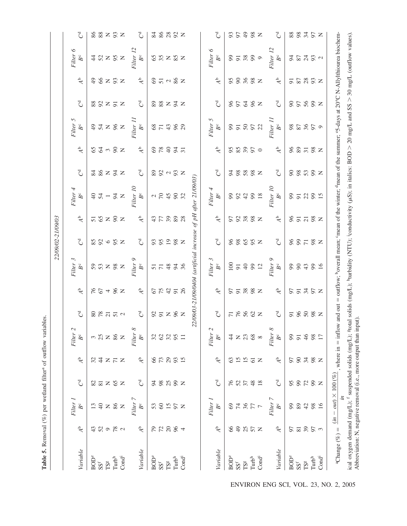|                                                                                                                                                                                               |                                                                |                                               |                 |                           |                                    |                          |                           | 22/09/02-21/09/03                                                                                                    |                            |                  |                                               |                            |                          |                         |                 |                  |                                       |                            |
|-----------------------------------------------------------------------------------------------------------------------------------------------------------------------------------------------|----------------------------------------------------------------|-----------------------------------------------|-----------------|---------------------------|------------------------------------|--------------------------|---------------------------|----------------------------------------------------------------------------------------------------------------------|----------------------------|------------------|-----------------------------------------------|----------------------------|--------------------------|-------------------------|-----------------|------------------|---------------------------------------|----------------------------|
| Variable                                                                                                                                                                                      | A <sup>b</sup>                                                 | Filter 1<br>$B^c$                             | $\mathcal{C}^d$ | $\mathbf{A}^{\mathbf{b}}$ | Filter <sub>2</sub><br>$B^{\rm c}$ | $\mathcal{C}^d$          | A <sup>b</sup>            | Filter 3<br>$B^{\rm c}$                                                                                              | $\mathcal{C}^{\mathsf{d}}$ | A <sup>b</sup>   | Filter 4<br>$B^c$                             | C <sub>d</sub>             | $\overline{A}^b$         | Filter 5<br>$B^{\rm c}$ | $\mathcal{C}^d$ | A <sup>b</sup>   | Filter 6<br>$B^{\rm c}$               | $\mathcal{C}^{\mathsf{d}}$ |
| <b>BOD</b> <sup>e</sup>                                                                                                                                                                       | 43                                                             |                                               |                 | 32                        |                                    |                          |                           |                                                                                                                      |                            |                  |                                               |                            | 65                       |                         |                 | $\frac{1}{2}$    |                                       |                            |
| $SS^f$                                                                                                                                                                                        | 52                                                             | 13                                            | $\frac{82}{81}$ | $\ddot{4}$                | $\frac{3}{25}$                     |                          |                           |                                                                                                                      |                            |                  | $-54$                                         |                            | $\mathcal{L}$            |                         |                 | $66$             |                                       |                            |
| $\mathbb{T}\mathbf{S}^{\mathrm{g}}$                                                                                                                                                           |                                                                |                                               |                 |                           |                                    | 88777                    | 2872                      | $R = 282$                                                                                                            | $$8805$<br>$$Z$            | 5828             |                                               | $38232$                    |                          | 9728Z                   | 88Z5Z           |                  | 4828                                  | 8877                       |
| $\mathrm{Turb}^{\mathrm{h}}$                                                                                                                                                                  | $\begin{array}{c} 9 \overline{) \ } 6 \overline{) \end{array}$ |                                               | $z$ $z$         | $Z \nabla Z$              | $\geq$ $\frac{8}{2}$               |                          |                           |                                                                                                                      |                            |                  |                                               |                            | $\sim 8$ $\times$        |                         |                 | Z S Z            |                                       |                            |
| $\mathbf{Cond}^{\mathbf{i}}$                                                                                                                                                                  |                                                                | $\mathsf{z}$                                  |                 |                           | $\mathsf{z}$                       |                          |                           |                                                                                                                      |                            |                  | $\frac{2}{3}$ $\times$                        |                            |                          |                         |                 |                  |                                       |                            |
|                                                                                                                                                                                               |                                                                | Filter 7                                      |                 |                           | Filter 8                           |                          |                           |                                                                                                                      |                            |                  | Filter 10                                     |                            |                          | Filter 1.               |                 |                  | Filter 12                             |                            |
| Variable                                                                                                                                                                                      | A <sup>b</sup>                                                 | $B^{\rm c}$                                   | $\mathcal{C}^d$ | A <sup>b</sup>            | $B^{\rm c}$                        | $\mathcal{C}^d$          | A <sup>b</sup>            | Filter 9<br>B <sup>c</sup>                                                                                           | $\mathcal{C}^d$            | A <sup>b</sup>   | $B^{\rm c}$                                   | $\mathcal{C}^d$            | $\overline{A}^b$         | $B^{\rm c}$             | $\mathcal{C}^d$ | A <sup>b</sup>   | $B^{\rm c}$                           | $\mathcal{C}^{\mathsf{d}}$ |
| <b>BOD</b> <sup>e</sup>                                                                                                                                                                       | $\mathcal{L}$                                                  | 53                                            | 54              | 66                        | 32                                 |                          |                           |                                                                                                                      |                            |                  |                                               |                            | 69                       |                         |                 |                  | 65                                    |                            |
| $SS^f$                                                                                                                                                                                        |                                                                | 60                                            | $98\,$          | $73$                      | $\mathcal{O}$                      |                          |                           |                                                                                                                      |                            |                  | $\begin{array}{c} 2 & 0 \\ 0 & 0 \end{array}$ |                            |                          |                         |                 |                  |                                       |                            |
| $TS^g$                                                                                                                                                                                        | 72884                                                          |                                               |                 |                           | $32$                               | S5ZSZ                    | <b>65458</b>              | 55338                                                                                                                | $35998$                    | 7778             |                                               | $2220$ $252$               | $\frac{8}{40}$           | 87488                   | 28272           | 8798             | $\frac{5}{2}$ $\approx$ $\frac{5}{2}$ | $38888$                    |
| $\mathrm{Turb}^{\mathrm{h}}$                                                                                                                                                                  |                                                                | $\frac{15}{2}$ S $\geq$                       | 298             | $293$                     | 5 <sup>o</sup>                     |                          |                           |                                                                                                                      |                            |                  | $\infty$                                      |                            | $\frac{3}{4}$            |                         |                 |                  |                                       |                            |
| Cond <sup>i</sup>                                                                                                                                                                             |                                                                |                                               |                 |                           |                                    |                          |                           |                                                                                                                      |                            | 28               | 32                                            |                            |                          |                         |                 |                  |                                       |                            |
|                                                                                                                                                                                               |                                                                |                                               |                 |                           |                                    |                          |                           | 22/09/03-21/09/0404 (artificial increase of pH after 21/09/03)                                                       |                            |                  |                                               |                            |                          |                         |                 |                  |                                       |                            |
|                                                                                                                                                                                               |                                                                | Filter 1                                      |                 |                           | Filter <sub>2</sub>                |                          |                           | Filter 3                                                                                                             |                            |                  | Filter 4                                      |                            |                          | Filter 5                |                 |                  | Filter 6                              |                            |
| Variable                                                                                                                                                                                      | A <sup>b</sup>                                                 | $B^{\rm c}$                                   | $\mathcal{C}^d$ | A <sup>b</sup>            | $B^{\rm c}$                        | $\mathcal{C}^{\text{d}}$ | A <sup>b</sup>            | $B^{\rm c}$                                                                                                          | $\mathcal{C}^d$            | A <sup>b</sup>   | $B^{\rm c}$                                   | $\mathcal{C}^d$            | $\overline{A}^b$         | $B^{\rm c}$             | $\mathcal{C}^d$ | A <sup>b</sup>   | $B^{\rm c}$                           | $\mathcal{C}^{\mathsf{d}}$ |
| <b>BOD</b> <sup>e</sup>                                                                                                                                                                       | 66                                                             | 69                                            | 76              | 63                        | $\ddot{4}$                         |                          |                           | 100                                                                                                                  |                            |                  | 66                                            | 64                         | 95                       |                         |                 | 66               |                                       |                            |
| $SS^f$                                                                                                                                                                                        |                                                                |                                               | $52$            |                           |                                    | 7888                     | $5588$ z                  | $\overline{91}$                                                                                                      | $88888$ z                  | $5888$ z         | 92                                            | 888Z                       |                          | 85852                   | 8538z           | $888$ z          | 87.88                                 | S S 2 S Z                  |
| $\mathbb{T}\mathbf{S}^{\mathrm{g}}$                                                                                                                                                           |                                                                |                                               |                 | $\frac{5}{15}$            | $\gtrsim$ $\frac{2}{\sqrt{3}}$     |                          |                           | $40$                                                                                                                 |                            |                  |                                               |                            |                          |                         |                 |                  |                                       |                            |
| $\mathrm{Turb}^{\mathrm{h}}$                                                                                                                                                                  | $985$ $\times$                                                 | $\begin{array}{c} 7 & 2 \\ 4 & 6 \end{array}$ | 48              | $61\,$                    | $68\,$                             |                          |                           | 902                                                                                                                  |                            |                  | 99                                            |                            | 8950                     |                         |                 |                  |                                       |                            |
| Cond <sup>i</sup>                                                                                                                                                                             |                                                                |                                               | 18              | Z                         | $\infty$                           |                          |                           |                                                                                                                      |                            |                  | $18\,$                                        |                            |                          |                         |                 |                  | $\circ$                               |                            |
|                                                                                                                                                                                               |                                                                | Filter 7                                      |                 |                           | Filter 8                           |                          |                           |                                                                                                                      |                            |                  | Filter 10                                     |                            |                          | Filter 1.               |                 |                  | Filter 12                             |                            |
| Variable                                                                                                                                                                                      | $\mathbf{A}^{\mathsf{b}}$                                      | $B^{\rm c}$                                   | $\mathcal{C}^d$ | A <sup>b</sup>            | $B^{\rm c}$                        | $\mathcal{C}^d$          | $\mathbf{A}^{\mathbf{b}}$ | $Fitter~9$ $Be$                                                                                                      | $\mathcal{C}^{\mathsf{d}}$ | $\overline{A}^b$ | $B^{\rm c}$                                   | $\mathcal{C}^d$            | $\overline{A}^b$         | $B^{\rm c}$             | $\mathcal{C}^d$ | $\overline{A}^b$ | $B^{\rm c}$                           | $\mathcal{C}^{\mathsf{d}}$ |
| <b>BOD</b> <sup>e</sup>                                                                                                                                                                       | 50                                                             | 99                                            | 95              | 50                        | 99                                 |                          |                           |                                                                                                                      |                            |                  | 99                                            | $\boldsymbol{\mathcal{Q}}$ | 96                       |                         | $\infty$        | $\overline{5}$   | 54                                    |                            |
| $SS^f$                                                                                                                                                                                        |                                                                | $\, 89$                                       | 99              | $90\,$                    | $\overline{9}$                     |                          |                           |                                                                                                                      |                            |                  |                                               |                            | $\,89$                   |                         |                 | $87\,$           |                                       |                            |
| $TSg$                                                                                                                                                                                         | $\frac{5}{8}$ $\frac{5}{8}$ $\frac{5}{8}$ $\frac{5}{8}$        | 42                                            | 72              | 34                        | 46                                 | 5888z                    | 5575Z                     | 88489                                                                                                                | 8878                       | $S = 78$         | 528                                           | 808                        | $\frac{1}{2}$ 8 $\times$ | 85850                   | $5.88$ z        | $28 \times 2$    | 8232                                  | $8875$ $\times$            |
| $\mathrm{Turb}^h$                                                                                                                                                                             |                                                                | 98                                            | 99              | $98$                      | $98\,$                             |                          |                           |                                                                                                                      |                            |                  |                                               |                            |                          |                         |                 |                  |                                       |                            |
| $\mathbf{Cond}^i$                                                                                                                                                                             |                                                                | 16                                            | $\mathbb{Z}$    | $\mathbb{Z}$              | $\overline{17}$                    |                          |                           |                                                                                                                      |                            |                  | $\overline{15}$                               |                            |                          |                         |                 |                  |                                       |                            |
| <sup>a</sup> Change (%) =                                                                                                                                                                     |                                                                | $(in - out) \times 100 (\%)$<br>$\ddot{n}$    |                 |                           | where $in = inflow$                |                          |                           | and out = outflow; boverall mean; 'mean of the winter; dmean of the summer; '5-days at 20°C N-Allylthiourea biochem- |                            |                  |                                               |                            |                          |                         |                 |                  |                                       |                            |
| ical oxygen demand $(\text{mg/L})$ ; f suspended solids (mg/L); "total solids (mg/L); "turbidity (NTU); conductivity ( $\mu$ S); in italics: BOD > 20 mg/L and SS > 30 mg/L (outflow values). |                                                                |                                               |                 |                           |                                    |                          |                           |                                                                                                                      |                            |                  |                                               |                            |                          |                         |                 |                  |                                       |                            |

Table 5. Removal (%) per wetland filter<sup>a</sup> of outflow variables. **Table 5.** Removal (%) per wetland filter<sup>a</sup> of outflow variables.

ENVIRON ENG SCI, VOL. 23, NO. 2, 2005

Abbreviation: N, negative removal (i.e., more output than input).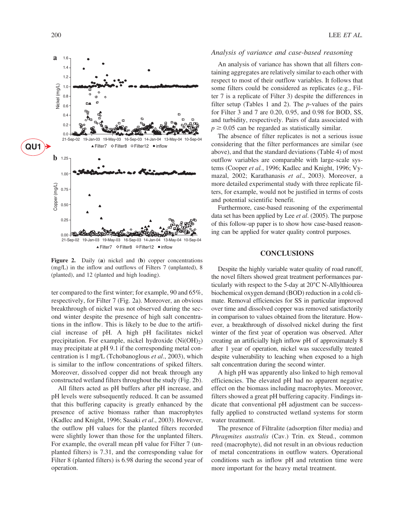

**Figure 2.** Daily (**a**) nickel and (**b**) copper concentrations (mg/L) in the inflow and outflows of Filters 7 (unplanted), 8 (planted), and 12 (planted and high loading).

ter compared to the first winter; for example, 90 and 65%, respectively, for Filter 7 (Fig. 2a). Moreover, an obvious breakthrough of nickel was not observed during the second winter despite the presence of high salt concentrations in the inflow. This is likely to be due to the artificial increase of pH. A high pH facilitates nickel precipitation. For example, nickel hydroxide  $(Ni(OH<sub>2</sub>))$ may precipitate at pH 9.1 if the corresponding metal concentration is 1 mg/L (Tchobanoglous *et al*., 2003), which is similar to the inflow concentrations of spiked filters. Moreover, dissolved copper did not break through any constructed wetland filters throughout the study (Fig. 2b).

All filters acted as pH buffers after pH increase, and pH levels were subsequently reduced. It can be assumed that this buffering capacity is greatly enhanced by the presence of active biomass rather than macrophytes (Kadlec and Knight, 1996; Sasaki *et al*., 2003). However, the outflow pH values for the planted filters recorded were slightly lower than those for the unplanted filters. For example, the overall mean pH value for Filter 7 (unplanted filters) is 7.31, and the corresponding value for Filter 8 (planted filters) is 6.98 during the second year of operation.

#### *Analysis of variance and case-based reasoning*

An analysis of variance has shown that all filters containing aggregates are relatively similar to each other with respect to most of their outflow variables. It follows that some filters could be considered as replicates (e.g., Filter 7 is a replicate of Filter 3) despite the differences in filter setup (Tables 1 and 2). The *p*-values of the pairs for Filter 3 and 7 are 0.20, 0.95, and 0.98 for BOD, SS, and turbidity, respectively. Pairs of data associated with  $p \geq 0.05$  can be regarded as statistically similar.

The absence of filter replicates is not a serious issue considering that the filter performances are similar (see above), and that the standard deviations (Table 4) of most outflow variables are comparable with large-scale systems (Cooper *et al.*, 1996; Kadlec and Knight, 1996; Vymazal, 2002; Karathanasis *et al*., 2003). Moreover, a more detailed experimental study with three replicate filters, for example, would not be justified in terms of costs and potential scientific benefit.

Furthermore, case-based reasoning of the experimental data set has been applied by Lee *et al*. (2005). The purpose of this follow-up paper is to show how case-based reasoning can be applied for water quality control purposes.

# **CONCLUSIONS**

Despite the highly variable water quality of road runoff, the novel filters showed great treatment performances particularly with respect to the 5-day at 20°C N-Allylthiourea biochemical oxygen demand (BOD) reduction in a cold climate. Removal efficiencies for SS in particular improved over time and dissolved copper was removed satisfactorily in comparison to values obtained from the literature. However, a breakthrough of dissolved nickel during the first winter of the first year of operation was observed. After creating an artificially high inflow pH of approximately 8 after 1 year of operation, nickel was successfully treated despite vulnerability to leaching when exposed to a high salt concentration during the second winter.

A high pH was apparently also linked to high removal efficiencies. The elevated pH had no apparent negative effect on the biomass including macrophytes. Moreover, filters showed a great pH buffering capacity. Findings indicate that conventional pH adjustment can be successfully applied to constructed wetland systems for storm water treatment.

The presence of Filtralite (adsorption filter media) and *Phragmites australis* (Cav.) Trin. ex Steud., common reed (macrophyte), did not result in an obvious reduction of metal concentrations in outflow waters. Operational conditions such as inflow pH and retention time were more important for the heavy metal treatment.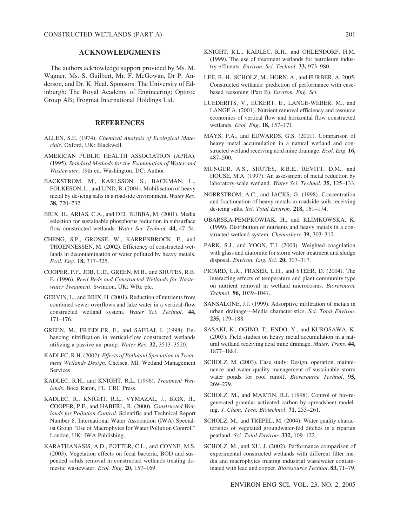# **ACKNOWLEDGMENTS**

The authors acknowledge support provided by Ms. M. Wagner, Ms. S. Guilbert, Mr. F. McGowan, Dr P. Anderson, and Dr. K. Heal. Sponsors: The University of Edinburgh; The Royal Academy of Engineering; Optiroc Group AB; Frogmat International Holdings Ltd.

# **REFERENCES**

- ALLEN, S.E. (1974). *Chemical Analysis of Ecological Materials*. Oxford, UK: Blackwell.
- AMERICAN PUBLIC HEALTH ASSOCIATION (APHA). (1995). *Standard Methods for the Examination of Water and Wastewater*, 19th ed. Washington, DC: Author.
- BACKSTROM, M., KARLSSON, S., BACKMAN, L., FOLKESON, L., and LIND, B. (2004). Mobilisation of heavy metal by de-icing salts in a roadside environment. *Water Res*. **38,** 720–732
- BRIX, H., ARIAS, C.A., and DEL BUBBA, M. (2001). Media selection for sustainable phosphorus reduction in subsurface flow constructed wetlands. *Water Sci. Technol*. **44,** 47–54.
- CHENG, S.P., GROSSE, W., KARRENBROCK, F., and THOENNESSEN, M. (2002). Efficiency of constructed wetlands in decontamination of water polluted by heavy metals. *Ecol. Eng*. **18,** 317–325.
- COOPER, P.F., JOB, G.D., GREEN, M.B., and SHUTES, R.B. E. (1996). *Reed Beds and Constructed Wetlands for Wastewater Treatment*. Swindon, UK: WRc plc.
- GERVIN, L., and BRIX, H. (2001). Reduction of nutrients from combined sewer overflows and lake water in a vertical-flow constructed wetland system. *Water Sci. Technol*. **44,** 171–176.
- GREEN, M., FRIEDLER, E., and SAFRAI, I. (1998). Enhancing nitrification in vertical-flow constructed wetlands utilizing a passive air pump. *Water Res*. **32,** 3513–3520.
- KADLEC, R.H. (2002). *Effects of Pollutant Speciation in Treatment Wetlands Design*. Chelsea, MI: Wetland Management Services.
- KADLEC, R.H., and KNIGHT, R.L. (1996). *Treatment Wetlands*. Boca Raton, FL: CRC Press.
- KADLEC, R., KNIGHT, R.L., VYMAZAL, J., BRIX, H., COOPER, P.F., and HABERL, R. (2000). *Constructed Wetlands for Pollution Control*. Scientific and Technical Report Number 8. International Water Association (IWA) Specialist Group "Use of Macrophytes for Water Pollution Control." London, UK: IWA Publishing.
- KARATHANASIS, A.D., POTTER, C.L., and COYNE, M.S. (2003). Vegetation effects on fecal bacteria, BOD and suspended solids removal in constructed wetlands treating domestic wastewater. *Ecol. Eng*. **20,** 157–169.
- KNIGHT, R.L., KADLEC, R.H., and OHLENDORF, H.M. (1999). The use of treatment wetlands for petroleum industry effluents. *Environ. Sci. Technol*. **33,** 973–980.
- LEE, B.-H., SCHOLZ, M., HORN, A., and FURBER, A. 2005. Constructed wetlands: prediction of performance with casebased reasoning (Part B). *Environ. Eng. Sci.*
- LUEDERITS, V., ECKERT, E., LANGE-WEBER, M., and LANGE A. (2001). Nutrient removal efficiency and resource economics of vertical flow and horizontal flow constructed wetlands. *Ecol. Eng*. **18,** 157–171.
- MAYS, P.A., and EDWARDS, G.S. (2001). Comparison of heavy metal accumulation in a natural wetland and constructed wetland receiving acid mine drainage. *Ecol. Eng*. **16,** 487–500.
- MUNGUR, A.S., SHUTES, R.B.E., REVITT, D.M., and HOUSE, M.A. (1997). An assessment of metal reduction by laboratory-scale wetland. *Water Sci. Technol*. **35,** 125–133.
- NORRSTROM, A.C., and JACKS, G. (1998). Concentration and fractionation of heavy metals in roadside soils receiving de-icing salts. *Sci. Total Environ*. **218,** 161–174.
- OBARSKA-PEMPKOWIAK, H., and KLIMKOWSKA, K. (1999). Distribution of nutrients and heavy metals in a constructed wetland system. *Chemoshere* **39,** 303–312.
- PARK, S.J., and YOON, T.I. (2003). Weighted coagulation with glass and diatomite for storm water treatment and sludge disposal. *Environ. Eng. Sci*. **20,** 307–317.
- PICARD, C.R., FRASER, L.H., and STEER, D. (2004). The interacting effects of temperature and plant community type on nutrient removal in wetland microcosms. *Bioresource Technol*. **96,** 1039–1047.
- SANSALONE, J.J. (1999). Adsorptive infiltration of metals in urban drainage—Media characteristics. *Sci. Total Environ*. **235,** 179–188.
- SASAKI, K., OGINO, T., ENDO, Y., and KUROSAWA, K. (2003). Field studies on heavy metal accumulation in a natural wetland receiving acid mine drainage. *Mater. Trans*. **44,** 1877–1884.
- SCHOLZ, M. (2003). Case study: Design, operation, maintenance and water quality management of sustainable storm water ponds for roof runoff. *Bioresource Technol*. **95,** 269–279.
- SCHOLZ, M., and MARTIN, R.J. (1998). Control of bio-regenerated granular activated carbon by spreadsheet modeling. *J. Chem. Tech. Biotechnol*. **71,** 253–261.
- SCHOLZ, M., and TREPEL, M. (2004). Water quality characteristics of vegetated groundwater-fed ditches in a riparian peatland. *Sci. Total Environ*. **332,** 109–122.
- SCHOLZ, M., and XU, J. (2002). Performance comparison of experimental constructed wetlands with different filter media and macrophytes treating industrial wastewater contaminated with lead and copper. *Bioresource Technol*. **83,** 71–79.

ENVIRON ENG SCI, VOL. 23, NO. 2, 2005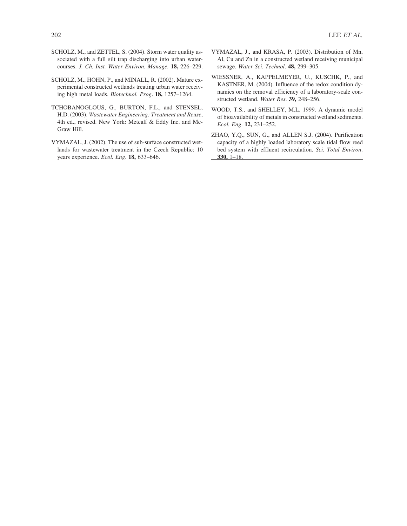- SCHOLZ, M., and ZETTEL, S. (2004). Storm water quality associated with a full silt trap discharging into urban watercourses. *J. Ch. Inst. Water Environ. Manage.* **18,** 226–229.
- SCHOLZ, M., HÖHN, P., and MINALL, R. (2002). Mature experimental constructed wetlands treating urban water receiving high metal loads. *Biotechnol. Prog*. **18,** 1257–1264.
- TCHOBANOGLOUS, G., BURTON, F.L., and STENSEL, H.D. (2003). *Wastewater Engineering: Treatment and Reuse*, 4th ed., revised. New York: Metcalf & Eddy Inc. and Mc-Graw Hill.
- VYMAZAL, J. (2002). The use of sub-surface constructed wetlands for wastewater treatment in the Czech Republic: 10 years experience. *Ecol. Eng*. **18,** 633–646.
- VYMAZAL, J., and KRASA, P. (2003). Distribution of Mn, Al, Cu and Zn in a constructed wetland receiving municipal sewage. *Water Sci. Technol*. **48,** 299–305.
- WIESSNER, A., KAPPELMEYER, U., KUSCHK, P., and KASTNER, M. (2004). Influence of the redox condition dynamics on the removal efficiency of a laboratory-scale constructed wetland. *Water Res*. **39,** 248–256.
- WOOD, T.S., and SHELLEY, M.L. 1999. A dynamic model of bioavailability of metals in constructed wetland sediments. *Ecol. Eng*. **12,** 231–252.
- ZHAO, Y.Q., SUN, G., and ALLEN S.J. (2004). Purification capacity of a highly loaded laboratory scale tidal flow reed bed system with effluent recirculation. *Sci. Total Environ*. **330,** 1–18.